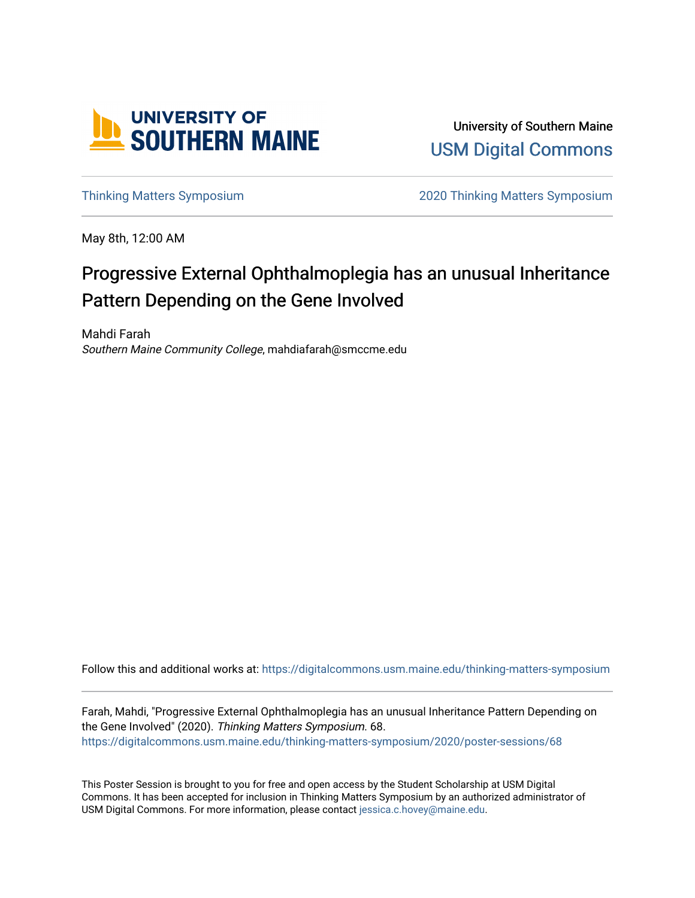

University of Southern Maine [USM Digital Commons](https://digitalcommons.usm.maine.edu/) 

[Thinking Matters Symposium](https://digitalcommons.usm.maine.edu/thinking-matters-symposium) [2020 Thinking Matters Symposium](https://digitalcommons.usm.maine.edu/thinking-matters-symposium/2020) 

May 8th, 12:00 AM

#### Progressive External Ophthalmoplegia has an unusual Inheritance Pattern Depending on the Gene Involved

Mahdi Farah Southern Maine Community College, mahdiafarah@smccme.edu

Follow this and additional works at: [https://digitalcommons.usm.maine.edu/thinking-matters-symposium](https://digitalcommons.usm.maine.edu/thinking-matters-symposium?utm_source=digitalcommons.usm.maine.edu%2Fthinking-matters-symposium%2F2020%2Fposter-sessions%2F68&utm_medium=PDF&utm_campaign=PDFCoverPages) 

Farah, Mahdi, "Progressive External Ophthalmoplegia has an unusual Inheritance Pattern Depending on the Gene Involved" (2020). Thinking Matters Symposium. 68. [https://digitalcommons.usm.maine.edu/thinking-matters-symposium/2020/poster-sessions/68](https://digitalcommons.usm.maine.edu/thinking-matters-symposium/2020/poster-sessions/68?utm_source=digitalcommons.usm.maine.edu%2Fthinking-matters-symposium%2F2020%2Fposter-sessions%2F68&utm_medium=PDF&utm_campaign=PDFCoverPages) 

This Poster Session is brought to you for free and open access by the Student Scholarship at USM Digital Commons. It has been accepted for inclusion in Thinking Matters Symposium by an authorized administrator of USM Digital Commons. For more information, please contact [jessica.c.hovey@maine.edu](mailto:ian.fowler@maine.edu).